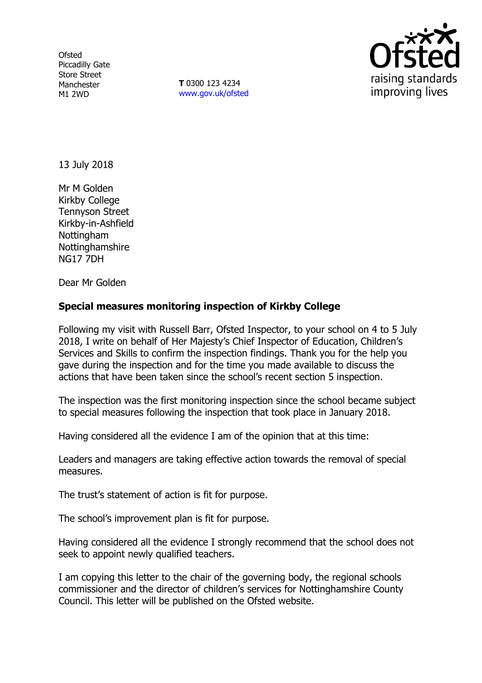**Ofsted** Piccadilly Gate Store Street Manchester M1 2WD

**T** 0300 123 4234 www.gov.uk/ofsted



13 July 2018

Mr M Golden Kirkby College Tennyson Street Kirkby-in-Ashfield **Nottingham** Nottinghamshire NG17 7DH

Dear Mr Golden

# **Special measures monitoring inspection of Kirkby College**

Following my visit with Russell Barr, Ofsted Inspector, to your school on 4 to 5 July 2018, I write on behalf of Her Majesty's Chief Inspector of Education, Children's Services and Skills to confirm the inspection findings. Thank you for the help you gave during the inspection and for the time you made available to discuss the actions that have been taken since the school's recent section 5 inspection.

The inspection was the first monitoring inspection since the school became subject to special measures following the inspection that took place in January 2018.

Having considered all the evidence I am of the opinion that at this time:

Leaders and managers are taking effective action towards the removal of special measures.

The trust's statement of action is fit for purpose.

The school's improvement plan is fit for purpose.

Having considered all the evidence I strongly recommend that the school does not seek to appoint newly qualified teachers.

I am copying this letter to the chair of the governing body, the regional schools commissioner and the director of children's services for Nottinghamshire County Council. This letter will be published on the Ofsted website.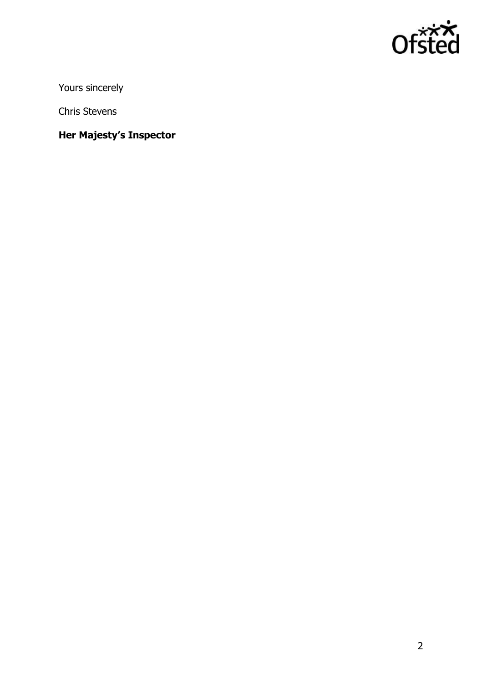

Yours sincerely

Chris Stevens

**Her Majesty's Inspector**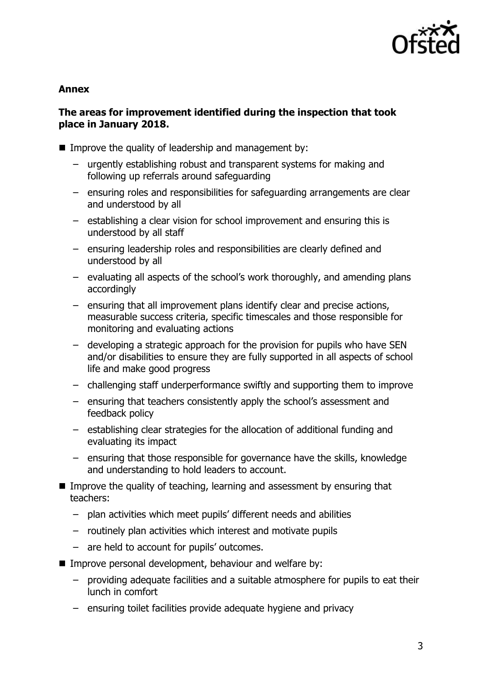

#### **Annex**

### **The areas for improvement identified during the inspection that took place in January 2018.**

- Improve the quality of leadership and management by:
	- urgently establishing robust and transparent systems for making and following up referrals around safeguarding
	- ensuring roles and responsibilities for safeguarding arrangements are clear and understood by all
	- establishing a clear vision for school improvement and ensuring this is understood by all staff
	- ensuring leadership roles and responsibilities are clearly defined and understood by all
	- evaluating all aspects of the school's work thoroughly, and amending plans accordingly
	- ensuring that all improvement plans identify clear and precise actions, measurable success criteria, specific timescales and those responsible for monitoring and evaluating actions
	- developing a strategic approach for the provision for pupils who have SEN and/or disabilities to ensure they are fully supported in all aspects of school life and make good progress
	- challenging staff underperformance swiftly and supporting them to improve
	- ensuring that teachers consistently apply the school's assessment and feedback policy
	- establishing clear strategies for the allocation of additional funding and evaluating its impact
	- ensuring that those responsible for governance have the skills, knowledge and understanding to hold leaders to account.
- Improve the quality of teaching, learning and assessment by ensuring that teachers:
	- plan activities which meet pupils' different needs and abilities
	- routinely plan activities which interest and motivate pupils
	- are held to account for pupils' outcomes.
- Improve personal development, behaviour and welfare by:
	- providing adequate facilities and a suitable atmosphere for pupils to eat their lunch in comfort
	- ensuring toilet facilities provide adequate hygiene and privacy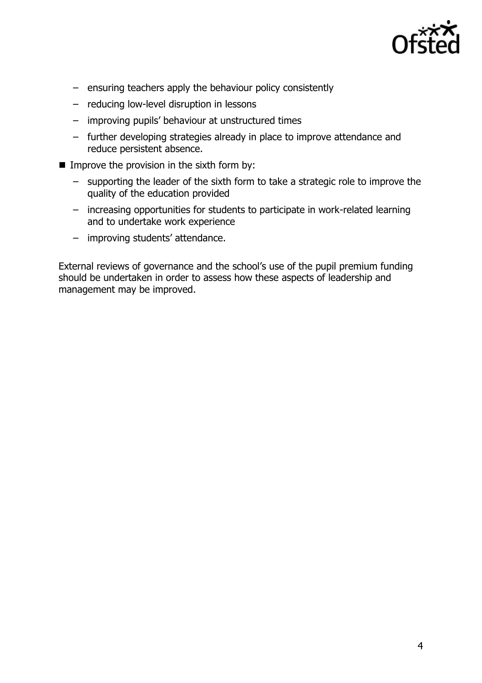

- ensuring teachers apply the behaviour policy consistently
- reducing low-level disruption in lessons
- improving pupils' behaviour at unstructured times
- further developing strategies already in place to improve attendance and reduce persistent absence.
- Improve the provision in the sixth form by:
	- supporting the leader of the sixth form to take a strategic role to improve the quality of the education provided
	- increasing opportunities for students to participate in work-related learning and to undertake work experience
	- improving students' attendance.

External reviews of governance and the school's use of the pupil premium funding should be undertaken in order to assess how these aspects of leadership and management may be improved.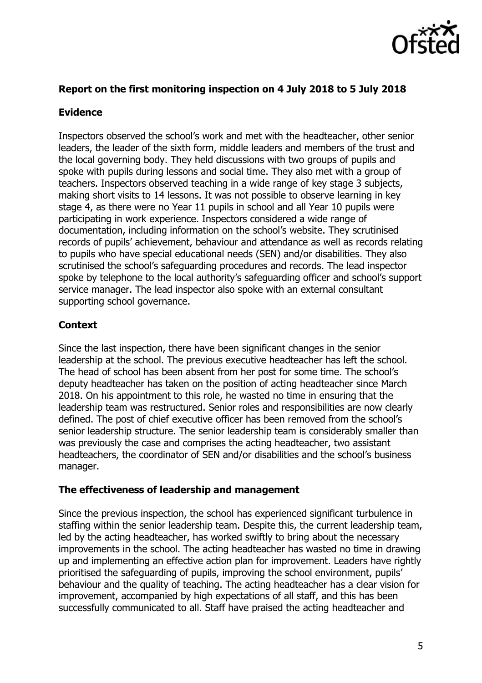

# **Report on the first monitoring inspection on 4 July 2018 to 5 July 2018**

### **Evidence**

Inspectors observed the school's work and met with the headteacher, other senior leaders, the leader of the sixth form, middle leaders and members of the trust and the local governing body. They held discussions with two groups of pupils and spoke with pupils during lessons and social time. They also met with a group of teachers. Inspectors observed teaching in a wide range of key stage 3 subjects, making short visits to 14 lessons. It was not possible to observe learning in key stage 4, as there were no Year 11 pupils in school and all Year 10 pupils were participating in work experience. Inspectors considered a wide range of documentation, including information on the school's website. They scrutinised records of pupils' achievement, behaviour and attendance as well as records relating to pupils who have special educational needs (SEN) and/or disabilities. They also scrutinised the school's safeguarding procedures and records. The lead inspector spoke by telephone to the local authority's safeguarding officer and school's support service manager. The lead inspector also spoke with an external consultant supporting school governance.

# **Context**

Since the last inspection, there have been significant changes in the senior leadership at the school. The previous executive headteacher has left the school. The head of school has been absent from her post for some time. The school's deputy headteacher has taken on the position of acting headteacher since March 2018. On his appointment to this role, he wasted no time in ensuring that the leadership team was restructured. Senior roles and responsibilities are now clearly defined. The post of chief executive officer has been removed from the school's senior leadership structure. The senior leadership team is considerably smaller than was previously the case and comprises the acting headteacher, two assistant headteachers, the coordinator of SEN and/or disabilities and the school's business manager.

### **The effectiveness of leadership and management**

Since the previous inspection, the school has experienced significant turbulence in staffing within the senior leadership team. Despite this, the current leadership team, led by the acting headteacher, has worked swiftly to bring about the necessary improvements in the school. The acting headteacher has wasted no time in drawing up and implementing an effective action plan for improvement. Leaders have rightly prioritised the safeguarding of pupils, improving the school environment, pupils' behaviour and the quality of teaching. The acting headteacher has a clear vision for improvement, accompanied by high expectations of all staff, and this has been successfully communicated to all. Staff have praised the acting headteacher and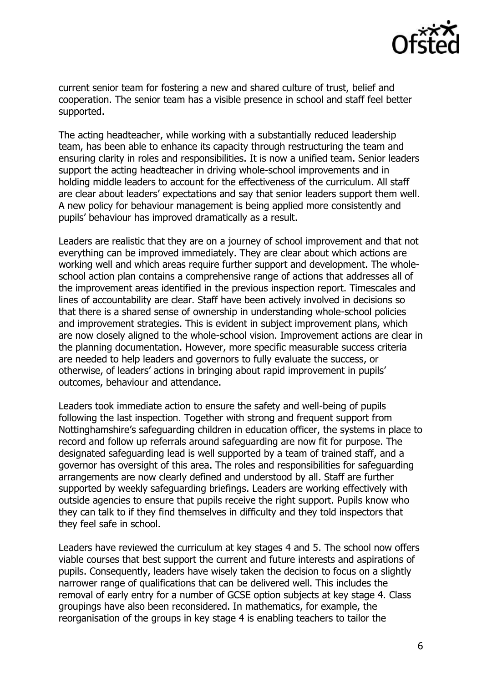

current senior team for fostering a new and shared culture of trust, belief and cooperation. The senior team has a visible presence in school and staff feel better supported.

The acting headteacher, while working with a substantially reduced leadership team, has been able to enhance its capacity through restructuring the team and ensuring clarity in roles and responsibilities. It is now a unified team. Senior leaders support the acting headteacher in driving whole-school improvements and in holding middle leaders to account for the effectiveness of the curriculum. All staff are clear about leaders' expectations and say that senior leaders support them well. A new policy for behaviour management is being applied more consistently and pupils' behaviour has improved dramatically as a result.

Leaders are realistic that they are on a journey of school improvement and that not everything can be improved immediately. They are clear about which actions are working well and which areas require further support and development. The wholeschool action plan contains a comprehensive range of actions that addresses all of the improvement areas identified in the previous inspection report. Timescales and lines of accountability are clear. Staff have been actively involved in decisions so that there is a shared sense of ownership in understanding whole-school policies and improvement strategies. This is evident in subject improvement plans, which are now closely aligned to the whole-school vision. Improvement actions are clear in the planning documentation. However, more specific measurable success criteria are needed to help leaders and governors to fully evaluate the success, or otherwise, of leaders' actions in bringing about rapid improvement in pupils' outcomes, behaviour and attendance.

Leaders took immediate action to ensure the safety and well-being of pupils following the last inspection. Together with strong and frequent support from Nottinghamshire's safeguarding children in education officer, the systems in place to record and follow up referrals around safeguarding are now fit for purpose. The designated safeguarding lead is well supported by a team of trained staff, and a governor has oversight of this area. The roles and responsibilities for safeguarding arrangements are now clearly defined and understood by all. Staff are further supported by weekly safeguarding briefings. Leaders are working effectively with outside agencies to ensure that pupils receive the right support. Pupils know who they can talk to if they find themselves in difficulty and they told inspectors that they feel safe in school.

Leaders have reviewed the curriculum at key stages 4 and 5. The school now offers viable courses that best support the current and future interests and aspirations of pupils. Consequently, leaders have wisely taken the decision to focus on a slightly narrower range of qualifications that can be delivered well. This includes the removal of early entry for a number of GCSE option subjects at key stage 4. Class groupings have also been reconsidered. In mathematics, for example, the reorganisation of the groups in key stage 4 is enabling teachers to tailor the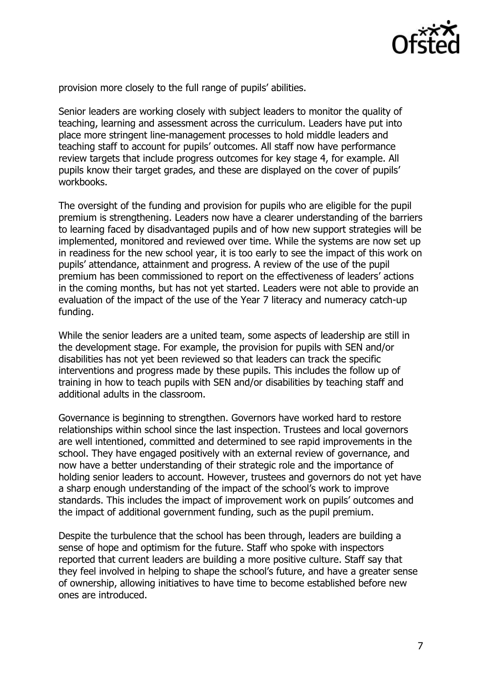

provision more closely to the full range of pupils' abilities.

Senior leaders are working closely with subject leaders to monitor the quality of teaching, learning and assessment across the curriculum. Leaders have put into place more stringent line-management processes to hold middle leaders and teaching staff to account for pupils' outcomes. All staff now have performance review targets that include progress outcomes for key stage 4, for example. All pupils know their target grades, and these are displayed on the cover of pupils' workbooks.

The oversight of the funding and provision for pupils who are eligible for the pupil premium is strengthening. Leaders now have a clearer understanding of the barriers to learning faced by disadvantaged pupils and of how new support strategies will be implemented, monitored and reviewed over time. While the systems are now set up in readiness for the new school year, it is too early to see the impact of this work on pupils' attendance, attainment and progress. A review of the use of the pupil premium has been commissioned to report on the effectiveness of leaders' actions in the coming months, but has not yet started. Leaders were not able to provide an evaluation of the impact of the use of the Year 7 literacy and numeracy catch-up funding.

While the senior leaders are a united team, some aspects of leadership are still in the development stage. For example, the provision for pupils with SEN and/or disabilities has not yet been reviewed so that leaders can track the specific interventions and progress made by these pupils. This includes the follow up of training in how to teach pupils with SEN and/or disabilities by teaching staff and additional adults in the classroom.

Governance is beginning to strengthen. Governors have worked hard to restore relationships within school since the last inspection. Trustees and local governors are well intentioned, committed and determined to see rapid improvements in the school. They have engaged positively with an external review of governance, and now have a better understanding of their strategic role and the importance of holding senior leaders to account. However, trustees and governors do not yet have a sharp enough understanding of the impact of the school's work to improve standards. This includes the impact of improvement work on pupils' outcomes and the impact of additional government funding, such as the pupil premium.

Despite the turbulence that the school has been through, leaders are building a sense of hope and optimism for the future. Staff who spoke with inspectors reported that current leaders are building a more positive culture. Staff say that they feel involved in helping to shape the school's future, and have a greater sense of ownership, allowing initiatives to have time to become established before new ones are introduced.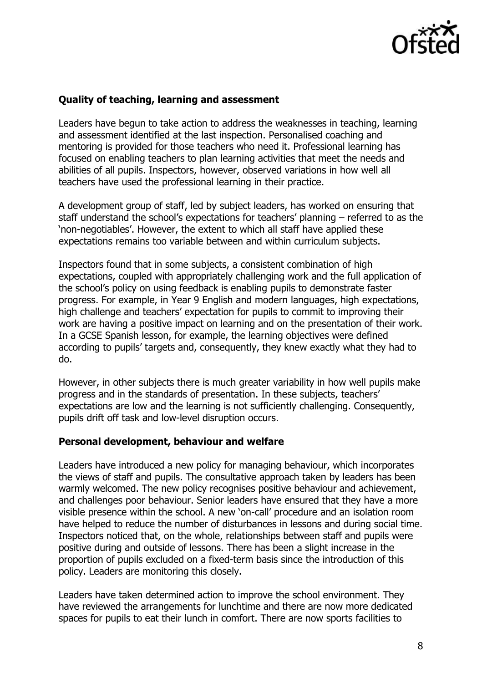

#### **Quality of teaching, learning and assessment**

Leaders have begun to take action to address the weaknesses in teaching, learning and assessment identified at the last inspection. Personalised coaching and mentoring is provided for those teachers who need it. Professional learning has focused on enabling teachers to plan learning activities that meet the needs and abilities of all pupils. Inspectors, however, observed variations in how well all teachers have used the professional learning in their practice.

A development group of staff, led by subject leaders, has worked on ensuring that staff understand the school's expectations for teachers' planning – referred to as the 'non-negotiables'. However, the extent to which all staff have applied these expectations remains too variable between and within curriculum subjects.

Inspectors found that in some subjects, a consistent combination of high expectations, coupled with appropriately challenging work and the full application of the school's policy on using feedback is enabling pupils to demonstrate faster progress. For example, in Year 9 English and modern languages, high expectations, high challenge and teachers' expectation for pupils to commit to improving their work are having a positive impact on learning and on the presentation of their work. In a GCSE Spanish lesson, for example, the learning objectives were defined according to pupils' targets and, consequently, they knew exactly what they had to do.

However, in other subjects there is much greater variability in how well pupils make progress and in the standards of presentation. In these subjects, teachers' expectations are low and the learning is not sufficiently challenging. Consequently, pupils drift off task and low-level disruption occurs.

#### **Personal development, behaviour and welfare**

Leaders have introduced a new policy for managing behaviour, which incorporates the views of staff and pupils. The consultative approach taken by leaders has been warmly welcomed. The new policy recognises positive behaviour and achievement, and challenges poor behaviour. Senior leaders have ensured that they have a more visible presence within the school. A new 'on-call' procedure and an isolation room have helped to reduce the number of disturbances in lessons and during social time. Inspectors noticed that, on the whole, relationships between staff and pupils were positive during and outside of lessons. There has been a slight increase in the proportion of pupils excluded on a fixed-term basis since the introduction of this policy. Leaders are monitoring this closely.

Leaders have taken determined action to improve the school environment. They have reviewed the arrangements for lunchtime and there are now more dedicated spaces for pupils to eat their lunch in comfort. There are now sports facilities to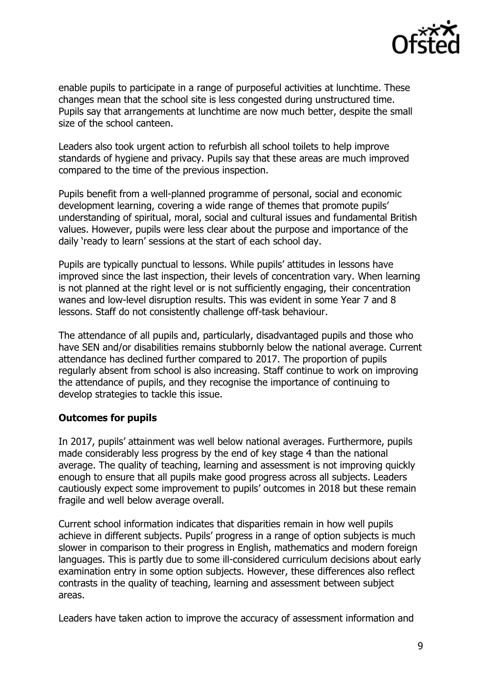

enable pupils to participate in a range of purposeful activities at lunchtime. These changes mean that the school site is less congested during unstructured time. Pupils say that arrangements at lunchtime are now much better, despite the small size of the school canteen.

Leaders also took urgent action to refurbish all school toilets to help improve standards of hygiene and privacy. Pupils say that these areas are much improved compared to the time of the previous inspection.

Pupils benefit from a well-planned programme of personal, social and economic development learning, covering a wide range of themes that promote pupils' understanding of spiritual, moral, social and cultural issues and fundamental British values. However, pupils were less clear about the purpose and importance of the daily 'ready to learn' sessions at the start of each school day.

Pupils are typically punctual to lessons. While pupils' attitudes in lessons have improved since the last inspection, their levels of concentration vary. When learning is not planned at the right level or is not sufficiently engaging, their concentration wanes and low-level disruption results. This was evident in some Year 7 and 8 lessons. Staff do not consistently challenge off-task behaviour.

The attendance of all pupils and, particularly, disadvantaged pupils and those who have SEN and/or disabilities remains stubbornly below the national average. Current attendance has declined further compared to 2017. The proportion of pupils regularly absent from school is also increasing. Staff continue to work on improving the attendance of pupils, and they recognise the importance of continuing to develop strategies to tackle this issue.

### **Outcomes for pupils**

In 2017, pupils' attainment was well below national averages. Furthermore, pupils made considerably less progress by the end of key stage 4 than the national average. The quality of teaching, learning and assessment is not improving quickly enough to ensure that all pupils make good progress across all subjects. Leaders cautiously expect some improvement to pupils' outcomes in 2018 but these remain fragile and well below average overall.

Current school information indicates that disparities remain in how well pupils achieve in different subjects. Pupils' progress in a range of option subjects is much slower in comparison to their progress in English, mathematics and modern foreign languages. This is partly due to some ill-considered curriculum decisions about early examination entry in some option subjects. However, these differences also reflect contrasts in the quality of teaching, learning and assessment between subject areas.

Leaders have taken action to improve the accuracy of assessment information and